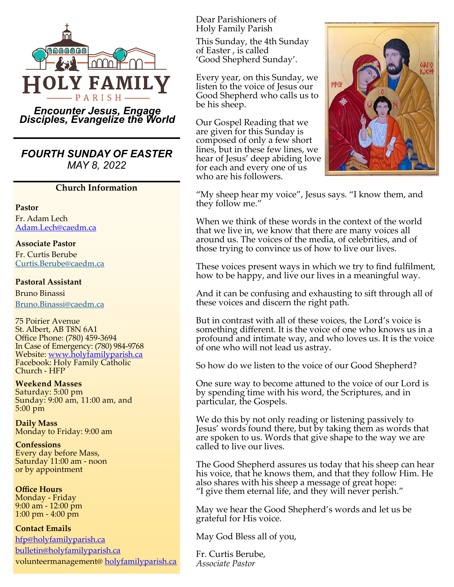

*Encounter Jesus, Engage Disciples, Evangelize the World*

*FOURTH SUNDAY OF EASTER MAY 8, 2022*

#### **Church Information**

**Pastor**

Fr. Adam Lech [Adam.Lech@caedm.ca](mailto:Adam.Lech@caedm.ca)

**Associate Pastor** 

Fr. Curtis Berube [Curtis.Berube@caedm.ca](mailto:Curtis.Berube@caedm.ca)

#### **Pastoral Assistant**

Bruno Binassi [Bruno.Binassi@caedm.ca](mailto:Bruno.Binassi@caedm.ca)

75 Poirier Avenue St. Albert, AB T8N 6A1 Office Phone: (780) 459-3694 In Case of Emergency: (780) 984-9768 Website: [www.holyfamilyparish.ca](http://www.holyfamilyparish.ca) Facebook: Holy Family Catholic Church - HFP

**Weekend Masses**  Saturday: 5:00 pm Sunday: 9:00 am, 11:00 am, and 5:00 pm

**Daily Mass** Monday to Friday: 9:00 am

**Confessions** Every day before Mass, Saturday 11:00 am - noon or by appointment

**Office Hours** Monday - Friday 9:00 am - 12:00 pm 1:00 pm - 4:00 pm

**Contact Emails**

[hfp@holyfamilyparish.ca](mailto:hfp@holyfamilyparish.ca) [bulletin@holyfamilyparish.ca](mailto:bulletin@holyfamilyparish.ca) volunteermanagement@ [holyfamilyparish.ca](http://holyfamilyparish.ca) Dear Parishioners of Holy Family Parish

This Sunday, the 4th Sunday of Easter , is called 'Good Shepherd Sunday'.

Every year, on this Sunday, we listen to the voice of Jesus our Good Shepherd who calls us to be his sheep.

Our Gospel Reading that we are given for this Sunday is composed of only a few short lines, but in these few lines, we hear of Jesus' deep abiding love for each and every one of us who are his followers.



"My sheep hear my voice", Jesus says. "I know them, and they follow me."

When we think of these words in the context of the world that we live in, we know that there are many voices all around us. The voices of the media, of celebrities, and of those trying to convince us of how to live our lives.

These voices present ways in which we try to find fulfilment, how to be happy, and live our lives in a meaningful way.

And it can be confusing and exhausting to sift through all of these voices and discern the right path.

But in contrast with all of these voices, the Lord's voice is something different. It is the voice of one who knows us in a profound and intimate way, and who loves us. It is the voice of one who will not lead us astray.

So how do we listen to the voice of our Good Shepherd?

One sure way to become attuned to the voice of our Lord is by spending time with his word, the Scriptures, and in particular, the Gospels.

We do this by not only reading or listening passively to Jesus' words found there, but by taking them as words that are spoken to us. Words that give shape to the way we are called to live our lives.

The Good Shepherd assures us today that his sheep can hear his voice, that he knows them, and that they follow Him. He also shares with his sheep a message of great hope: "I give them eternal life, and they will never perish."

May we hear the Good Shepherd's words and let us be grateful for His voice.

May God Bless all of you,

Fr. Curtis Berube, *Associate Pastor*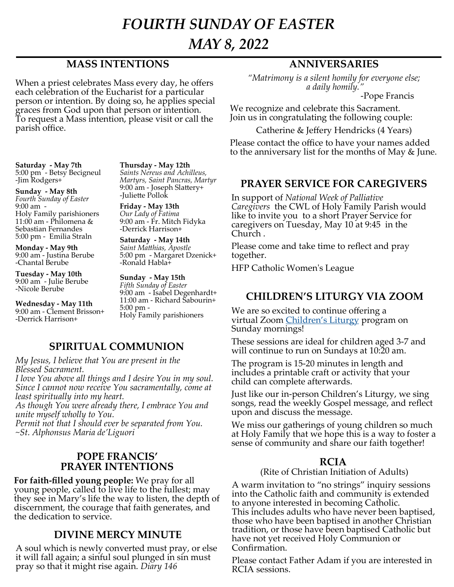# *FOURTH SUNDAY OF EASTER*

*MAY 8, 2022*

### **MASS INTENTIONS**

When a priest celebrates Mass every day, he offers each celebration of the Eucharist for a particular person or intention. By doing so, he applies special graces from God upon that person or intention. To request a Mass intention, please visit or call the parish office.

**Saturday - May 7th** 5:00 pm - Betsy Becigneul -Jim Rodgers+

**Sunday - May 8th** *Fourth Sunday of Easter* 9:00 am - Holy Family parishioners 11:00 am - Philomena  $\&$ Sebastian Fernandes 5:00 pm - Emilia Straln

**Monday - May 9th** 9:00 am - Justina Berube -Chantal Berube

**Tuesday - May 10th** 9:00 am - Julie Berube -Nicole Berube

**Wednesday - May 11th** 9:00 am - Clement Brisson+ -Derrick Harrison+

**Thursday - May 12th** *Saints Nereus and Achilleus, Martyrs, Saint Pancras, Martyr* 9:00 am - Joseph Slattery+ -Juliette Pollok

**Friday - May 13th** *Our Lady of Fatima* 9:00 am - Fr. Mitch Fidyka -Derrick Harrison+

**Saturday - May 14th** *Saint Matthias, Apostle* 5:00 pm - Margaret Dzenick+ -Ronald Habla+

**Sunday - May 15th** *Fifth Sunday of Easter* 9:00 am - Isabel Degenhardt+ 11:00 am - Richard Sabourin+ 5:00 pm - Holy Family parishioners

### **SPIRITUAL COMMUNION**

*My Jesus, I believe that You are present in the Blessed Sacrament.*

*I love You above all things and I desire You in my soul. Since I cannot now receive You sacramentally, come at least spiritually into my heart.* 

*As though You were already there, I embrace You and unite myself wholly to You.*

*Permit not that I should ever be separated from You. ~St. Alphonsus Maria de'Liguori*

#### **POPE FRANCIS' PRAYER INTENTIONS**

**For faith-filled young people:** We pray for all young people, called to live life to the fullest; may they see in Mary's life the way to listen, the depth of discernment, the courage that faith generates, and the dedication to service.

#### **DIVINE MERCY MINUTE**

A soul which is newly converted must pray, or else it will fall again; a sinful soul plunged in sin must pray so that it might rise again. *Diary 146* 

# **ANNIVERSARIES**

*"Matrimony is a silent homily for everyone else; a daily homily."* 

-Pope Francis

We recognize and celebrate this Sacrament. Join us in congratulating the following couple:

Catherine & Jeffery Hendricks (4 Years)

Please contact the office to have your names added to the anniversary list for the months of May & June.

#### **PRAYER SERVICE FOR CAREGIVERS**

In support of *National Week of Palliative Caregivers* the CWL of Holy Family Parish would like to invite you to a short Prayer Service for caregivers on Tuesday, May 10 at 9:45 in the Church .

Please come and take time to reflect and pray together.

HFP Catholic Women's League

### **CHILDREN'S LITURGY VIA ZOOM**

We are so excited to continue offering a virtual Zoom Children'[s Liturgy](https://sites.google.com/view/holyfamilychildrensliturgy/home) program on Sunday mornings!

These sessions are ideal for children aged 3-7 and will continue to run on Sundays at 10:20 am.

The program is 15-20 minutes in length and includes a printable craft or activity that your child can complete afterwards.

Just like our in-person Children's Liturgy, we sing songs, read the weekly Gospel message, and reflect upon and discuss the message.

We miss our gatherings of young children so much at Holy Family that we hope this is a way to foster a sense of community and share our faith together!

#### **RCIA**

(Rite of Christian Initiation of Adults)

A warm invitation to "no strings" inquiry sessions into the Catholic faith and community is extended to anyone interested in becoming Catholic. This includes adults who have never been baptised, those who have been baptised in another Christian tradition, or those have been baptised Catholic but have not yet received Holy Communion or Confirmation.

Please contact Father Adam if you are interested in RCIA sessions.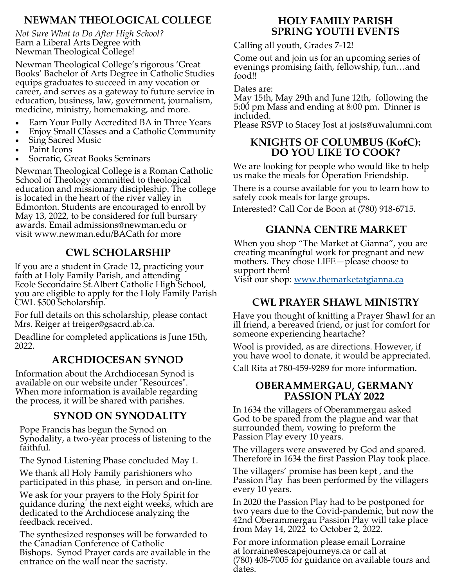# **NEWMAN THEOLOGICAL COLLEGE**

*Not Sure What to Do After High School?* Earn a Liberal Arts Degree with Newman Theological College!

Newman Theological College's rigorous 'Great Books' Bachelor of Arts Degree in Catholic Studies equips graduates to succeed in any vocation or career, and serves as a gateway to future service in education, business, law, government, journalism, medicine, ministry, homemaking, and more.

- Earn Your Fully Accredited BA in Three Years
- Enjoy Small Classes and a Catholic Community
- Sing Sacred Music
- Paint Icons
- Socratic, Great Books Seminars

Newman Theological College is a Roman Catholic School of Theology committed to theological education and missionary discipleship. The college is located in the heart of the river valley in Edmonton. Students are encouraged to enroll by May 13, 2022, to be considered for full bursary awards. Email admissions@newman.edu or visit www.newman.edu/BACath for more **GIANNA CENTRE MARKET**

# **CWL SCHOLARSHIP**

If you are a student in Grade 12, practicing your faith at Holy Family Parish, and attending Ecole Secondaire St.Albert Catholic High School, you are eligible to apply for the Holy Family Parish CWL \$500 Scholarship.

For full details on this scholarship, please contact Mrs. Reiger at treiger@gsacrd.ab.ca.

Deadline for completed applications is June 15th, 2022.

# **ARCHDIOCESAN SYNOD**

Information about the Archdiocesan Synod is available on our website under "Resources". When more information is available regarding the process, it will be shared with parishes.

### **SYNOD ON SYNODALITY**

Pope Francis has begun the Synod on Synodality, a two-year process of listening to the faithful.

The Synod Listening Phase concluded May 1.

We thank all Holy Family parishioners who participated in this phase, in person and on-line.

We ask for your prayers to the Holy Spirit for guidance during the next eight weeks, which are dedicated to the Archdiocese analyzing the feedback received.

The synthesized responses will be forwarded to the Canadian Conference of Catholic Bishops. Synod Prayer cards are available in the entrance on the wall near the sacristy.

#### **HOLY FAMILY PARISH SPRING YOUTH EVENTS**

Calling all youth, Grades 7-12!

Come out and join us for an upcoming series of evenings promising faith, fellowship, fun…and food!!

Dates are:

May 15th, May 29th and June 12th, following the 5:00 pm Mass and ending at 8:00 pm. Dinner is included.

Please RSVP to Stacey Jost at josts@uwalumni.com

#### **KNIGHTS OF COLUMBUS (KofC): DO YOU LIKE TO COOK?**

We are looking for people who would like to help us make the meals for Operation Friendship.

There is a course available for you to learn how to safely cook meals for large groups.

Interested? Call Cor de Boon at (780) 918-6715.

When you shop "The Market at Gianna", you are creating meaningful work for pregnant and new mothers. They chose LIFE—please choose to support them!

Visit our shop: <u>[www.themarketatgianna.ca](https://www.themarketatgianna.ca/)</u>

# **CWL PRAYER SHAWL MINISTRY**

Have you thought of knitting a Prayer Shawl for an ill friend, a bereaved friend, or just for comfort for someone experiencing heartache?

Wool is provided, as are directions. However, if you have wool to donate, it would be appreciated.

Call Rita at 780-459-9289 for more information.

#### **OBERAMMERGAU, GERMANY PASSION PLAY 2022**

In 1634 the villagers of Oberammergau asked God to be spared from the plague and war that surrounded them, vowing to preform the Passion Play every 10 years.

The villagers were answered by God and spared. Therefore in 1634 the first Passion Play took place.

The villagers' promise has been kept , and the Passion Play has been performed by the villagers every 10 years.

In 2020 the Passion Play had to be postponed for two years due to the Covid-pandemic, but now the 42nd Oberammergau Passion Play will take place from May 14, 2022 to October 2, 2022.

For more information please email Lorraine at lorraine@escapejourneys.ca or call at (780) 408-7005 for guidance on available tours and dates.